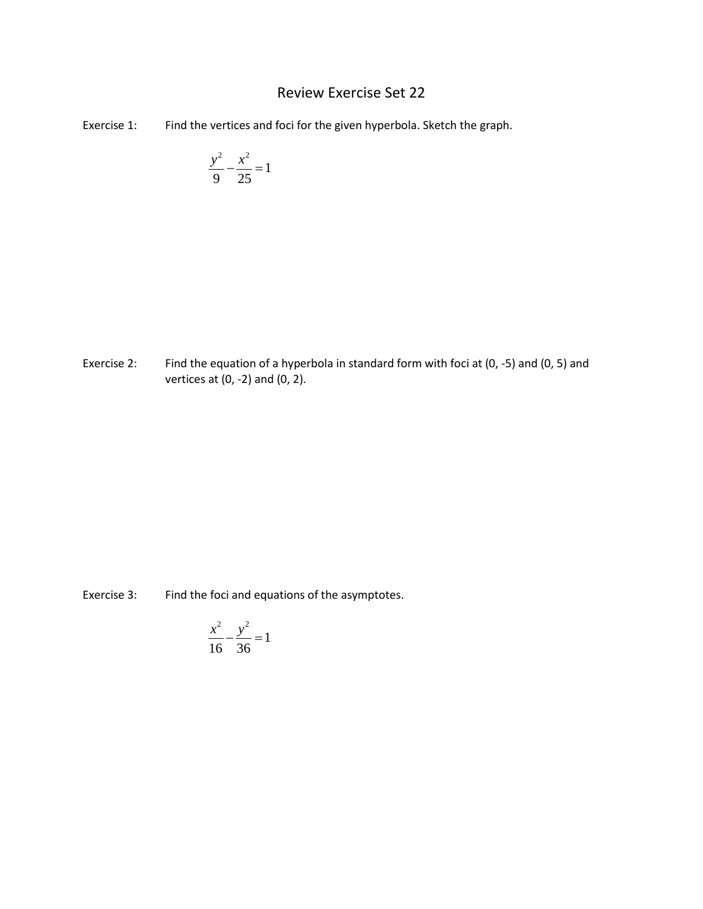## Review Exercise Set 22

Exercise 1: Find the vertices and foci for the given hyperbola. Sketch the graph.

$$
\frac{y^2}{9} - \frac{x^2}{25} = 1
$$

Exercise 2: Find the equation of a hyperbola in standard form with foci at (0, -5) and (0, 5) and vertices at (0, -2) and (0, 2).

Exercise 3: Find the foci and equations of the asymptotes.

$$
\frac{x^2}{16} - \frac{y^2}{36} = 1
$$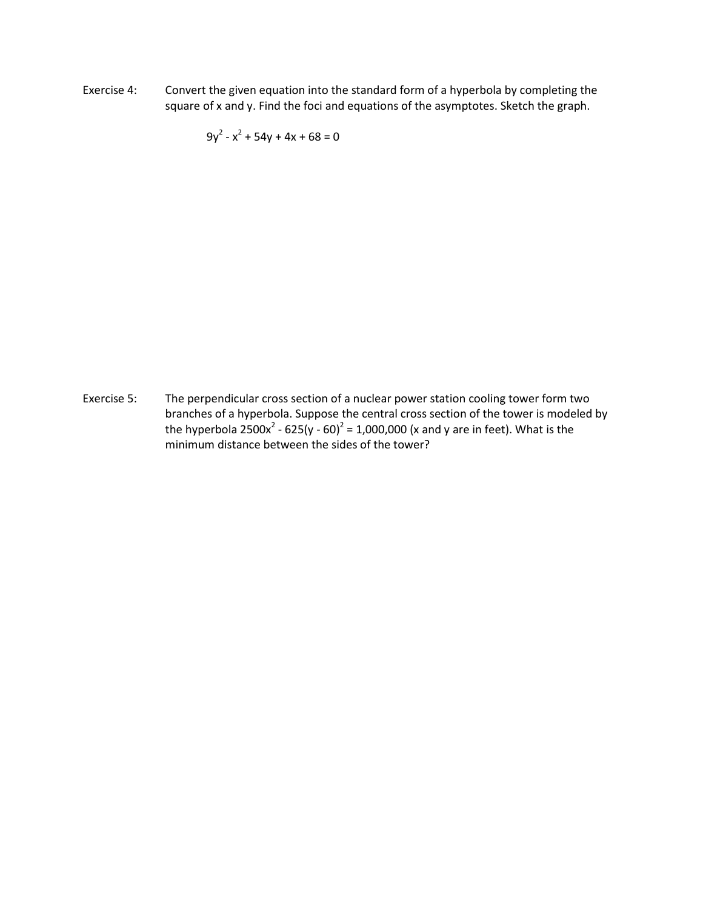Exercise 4: Convert the given equation into the standard form of a hyperbola by completing the square of x and y. Find the foci and equations of the asymptotes. Sketch the graph.

 $9y^2 - x^2 + 54y + 4x + 68 = 0$ 

Exercise 5: The perpendicular cross section of a nuclear power station cooling tower form two branches of a hyperbola. Suppose the central cross section of the tower is modeled by the hyperbola  $2500x^2 - 625(y - 60)^2 = 1,000,000$  (x and y are in feet). What is the minimum distance between the sides of the tower?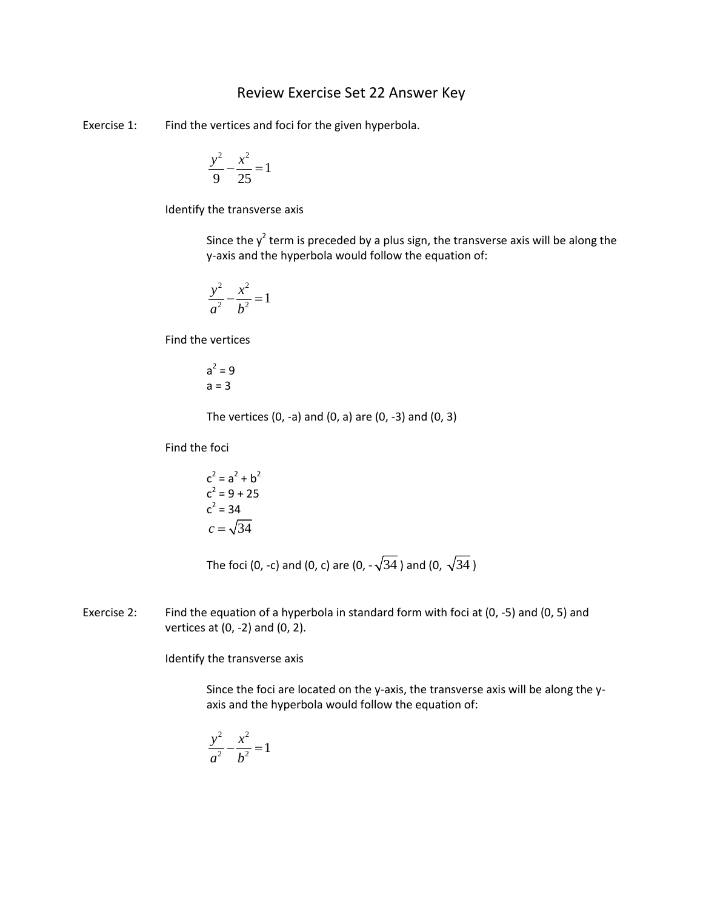## Review Exercise Set 22 Answer Key

Exercise 1: Find the vertices and foci for the given hyperbola.

$$
\frac{y^2}{9} - \frac{x^2}{25} = 1
$$

Identify the transverse axis

Since the  $y^2$  term is preceded by a plus sign, the transverse axis will be along the y-axis and the hyperbola would follow the equation of:

$$
\frac{y^2}{a^2} - \frac{x^2}{b^2} = 1
$$

Find the vertices

$$
a^2 = 9
$$
  

$$
a = 3
$$

The vertices  $(0, -a)$  and  $(0, a)$  are  $(0, -3)$  and  $(0, 3)$ 

Find the foci

$$
c2 = a2 + b2
$$
  
\n
$$
c2 = 9 + 25
$$
  
\n
$$
c2 = 34
$$
  
\n
$$
c = \sqrt{34}
$$

The foci (0, -c) and (0, c) are (0,  $-\sqrt{34}$ ) and (0,  $\sqrt{34}$ )

Exercise 2: Find the equation of a hyperbola in standard form with foci at (0, -5) and (0, 5) and vertices at (0, -2) and (0, 2).

Identify the transverse axis

Since the foci are located on the y-axis, the transverse axis will be along the yaxis and the hyperbola would follow the equation of:

$$
\frac{y^2}{a^2} - \frac{x^2}{b^2} = 1
$$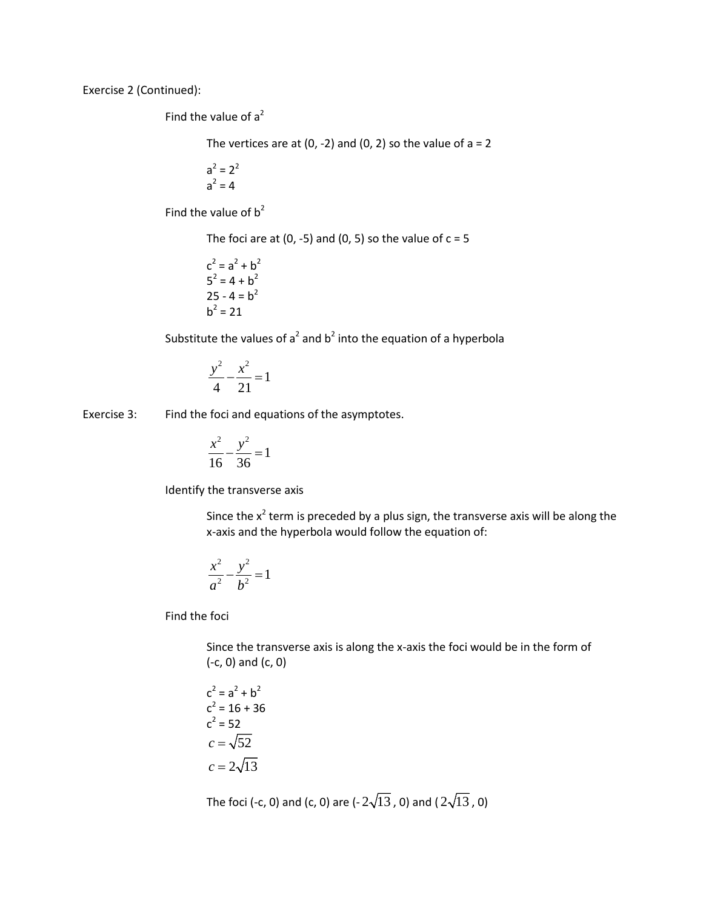Exercise 2 (Continued):

Find the value of  $a^2$ 

The vertices are at (0, -2) and (0, 2) so the value of  $a = 2$ 

$$
a^2 = 2^2
$$

$$
a^2 = 4
$$

Find the value of  $b^2$ 

The foci are at (0, -5) and (0, 5) so the value of  $c = 5$ 

 $c^2 = a^2 + b^2$  $5^2 = 4 + b^2$  $25 - 4 = b<sup>2</sup>$  $h^2 = 21$ 

Substitute the values of  $a^2$  and  $b^2$  into the equation of a hyperbola

$$
\frac{y^2}{4} - \frac{x^2}{21} = 1
$$

Exercise 3: Find the foci and equations of the asymptotes.

$$
\frac{x^2}{16} - \frac{y^2}{36} = 1
$$

Identify the transverse axis

Since the  $x^2$  term is preceded by a plus sign, the transverse axis will be along the x-axis and the hyperbola would follow the equation of:

$$
\frac{x^2}{a^2} - \frac{y^2}{b^2} = 1
$$

Find the foci

Since the transverse axis is along the x-axis the foci would be in the form of (-c, 0) and (c, 0)

$$
c2 = a2 + b2
$$

$$
c2 = 16 + 36
$$

$$
c2 = 52
$$

$$
c = \sqrt{52}
$$

$$
c = 2\sqrt{13}
$$

The foci (-c, 0) and (c, 0) are (- $2\sqrt{13}$ , 0) and ( $2\sqrt{13}$ , 0)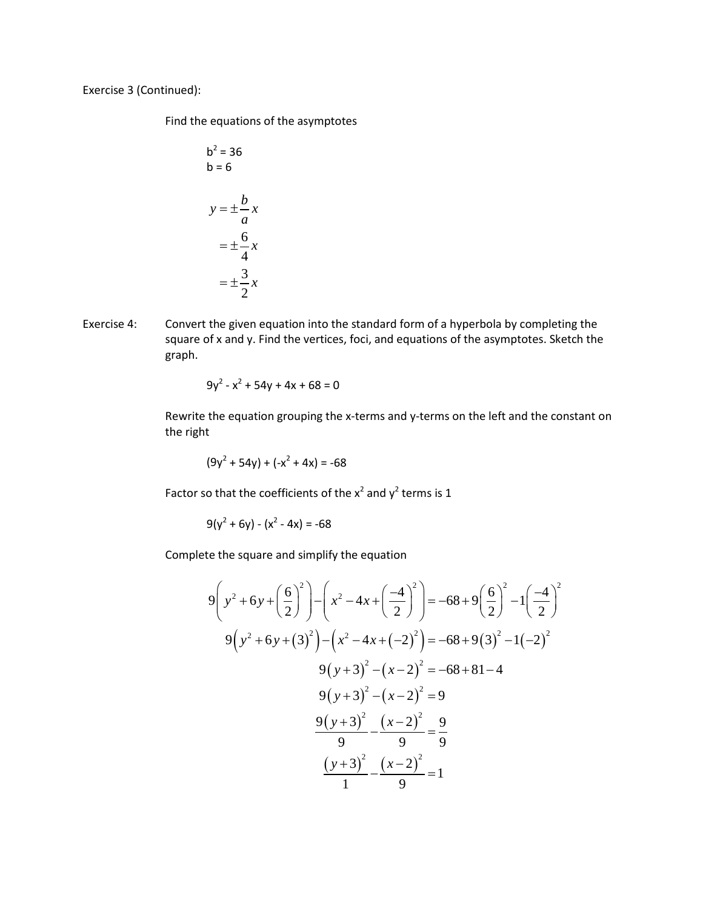Exercise 3 (Continued):

Find the equations of the asymptotes

$$
b2 = 36
$$
  
\n
$$
b = 6
$$
  
\n
$$
y = \pm \frac{b}{a}x
$$
  
\n
$$
= \pm \frac{6}{4}x
$$
  
\n
$$
= \pm \frac{3}{2}x
$$

Exercise 4: Convert the given equation into the standard form of a hyperbola by completing the square of x and y. Find the vertices, foci, and equations of the asymptotes. Sketch the graph.

$$
9y^2 - x^2 + 54y + 4x + 68 = 0
$$

Rewrite the equation grouping the x-terms and y-terms on the left and the constant on the right

$$
(9y2 + 54y) + (-x2 + 4x) = -68
$$

Factor so that the coefficients of the  $x^2$  and  $y^2$  terms is 1

$$
9(y^2 + 6y) - (x^2 - 4x) = -68
$$

Complete the square and simplify the equation

$$
9\left(y^2 + 6y + \left(\frac{6}{2}\right)^2\right) - \left(x^2 - 4x + \left(\frac{-4}{2}\right)^2\right) = -68 + 9\left(\frac{6}{2}\right)^2 - 1\left(\frac{-4}{2}\right)^2
$$
  

$$
9\left(y^2 + 6y + (3)^2\right) - \left(x^2 - 4x + (-2)^2\right) = -68 + 9(3)^2 - 1(-2)^2
$$
  

$$
9\left(y + 3\right)^2 - \left(x - 2\right)^2 = -68 + 81 - 4
$$
  

$$
9\left(y + 3\right)^2 - \left(x - 2\right)^2 = 9
$$
  

$$
\frac{9\left(y + 3\right)^2}{9} - \frac{\left(x - 2\right)^2}{9} = \frac{9}{9}
$$
  

$$
\frac{\left(y + 3\right)^2}{1} - \frac{\left(x - 2\right)^2}{9} = 1
$$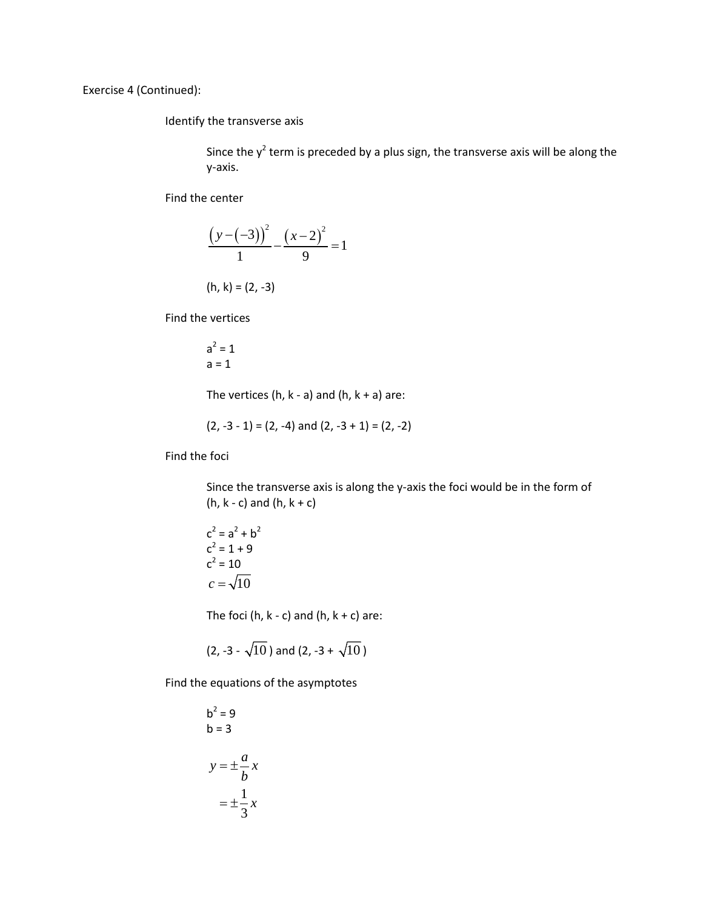Exercise 4 (Continued):

Identify the transverse axis

Since the  $y^2$  term is preceded by a plus sign, the transverse axis will be along the y-axis.

Find the center

$$
\frac{(y-(-3))^2}{1} - \frac{(x-2)^2}{9} = 1
$$

 $(h, k) = (2, -3)$ 

Find the vertices

$$
a^2 = 1
$$
  

$$
a = 1
$$

The vertices (h,  $k - a$ ) and (h,  $k + a$ ) are:

$$
(2, -3 - 1) = (2, -4)
$$
 and  $(2, -3 + 1) = (2, -2)$ 

Find the foci

Since the transverse axis is along the y-axis the foci would be in the form of (h,  $k - c$ ) and (h,  $k + c$ )

$$
c2 = a2 + b2
$$
  
\n
$$
c2 = 1 + 9
$$
  
\n
$$
c2 = 10
$$
  
\n
$$
c = \sqrt{10}
$$

The foci (h,  $k - c$ ) and (h,  $k + c$ ) are:

$$
(2, -3 - \sqrt{10})
$$
 and  $(2, -3 + \sqrt{10})$ 

Find the equations of the asymptotes

$$
b2 = 9
$$
  
\n
$$
b = 3
$$
  
\n
$$
y = \pm \frac{a}{b}x
$$
  
\n
$$
= \pm \frac{1}{3}x
$$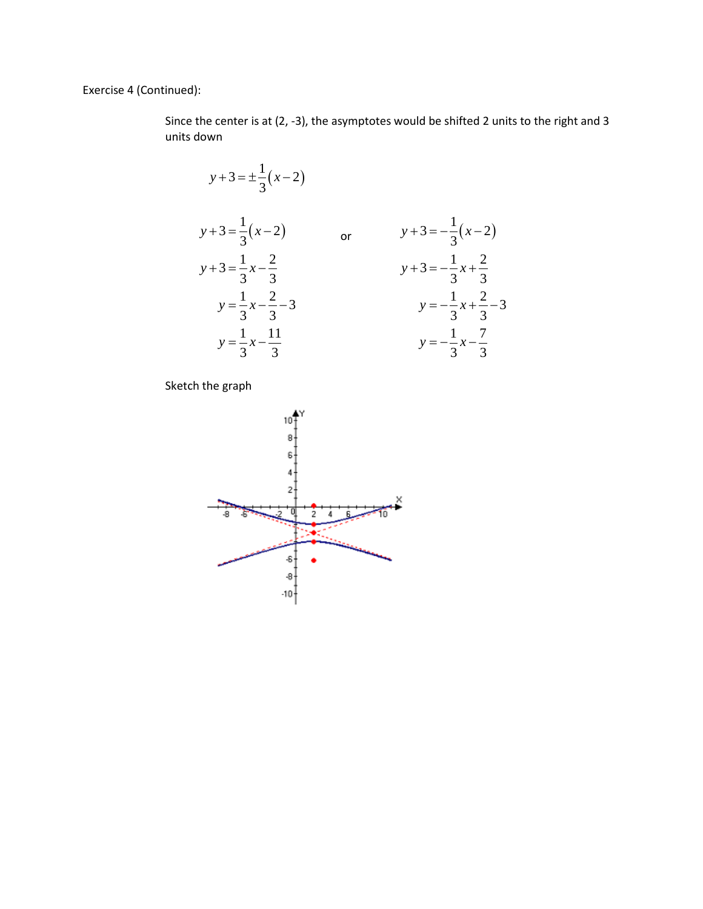Exercise 4 (Continued):

Since the center is at (2, -3), the asymptotes would be shifted 2 units to the right and 3 units down

$$
y+3 = \pm \frac{1}{3}(x-2)
$$
  
\n
$$
y+3 = \frac{1}{3}(x-2)
$$
 or 
$$
y+3 = -\frac{1}{3}(x-2)
$$
  
\n
$$
y+3 = \frac{1}{3}x-\frac{2}{3}
$$
 
$$
y+3 = -\frac{1}{3}x+\frac{2}{3}
$$
  
\n
$$
y = \frac{1}{3}x-\frac{2}{3}-3
$$
 
$$
y = -\frac{1}{3}x+\frac{2}{3}-3
$$
  
\n
$$
y = \frac{1}{3}x-\frac{11}{3}
$$
 
$$
y = -\frac{1}{3}x-\frac{7}{3}
$$

Sketch the graph